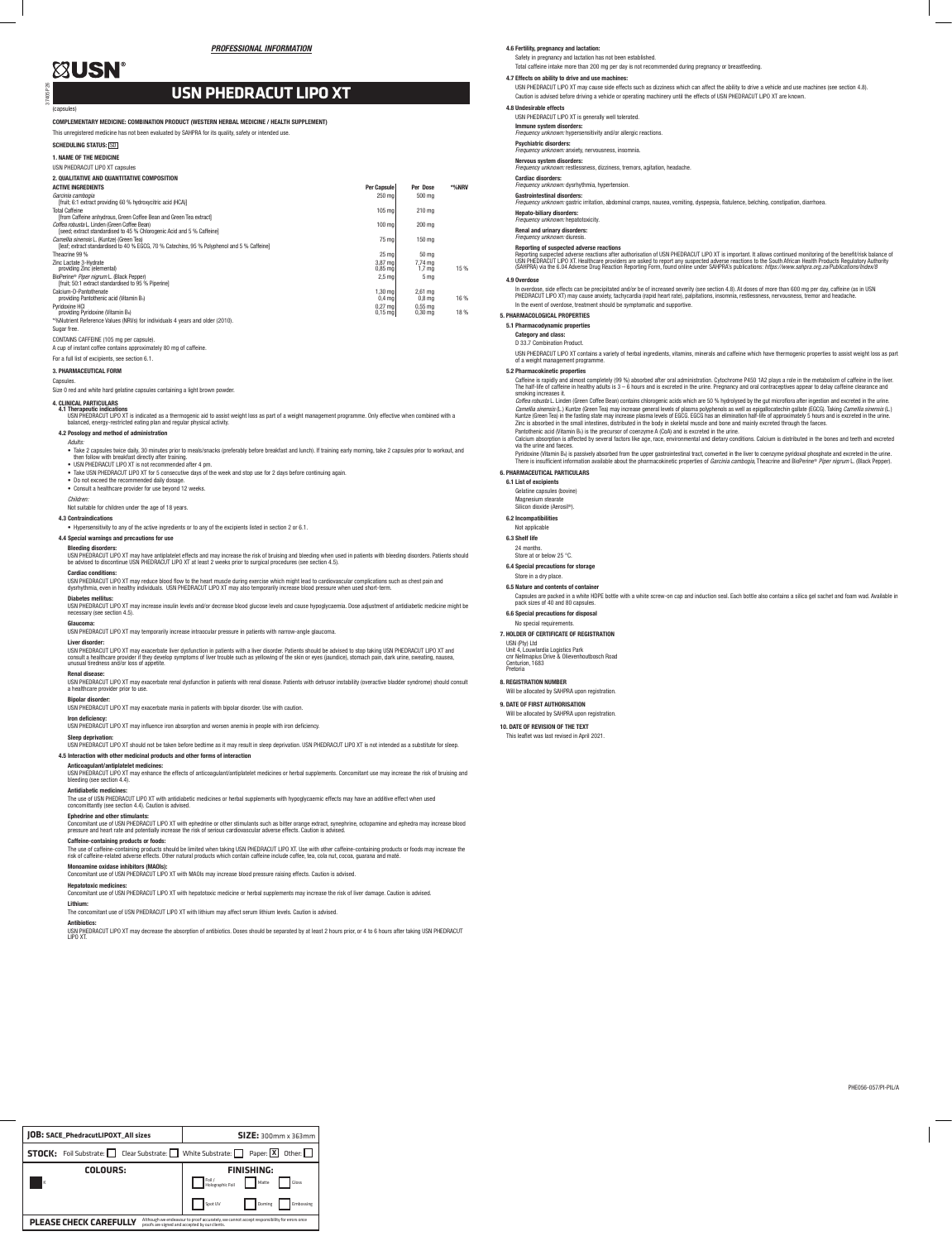PHE056-057/PI-PIL/A

37405 P26

(capsules)

COMPLEMENTARY MEDICINE: COMBINATION PRODUCT (WESTERN HERBAL MEDICINE / HEALTH SUPPLEMENT)

This unregistered medicine has not been evaluated by SAHPRA for its quality, safety or intended use.

SCHEDULING STATUS: **SO** 1. NAME OF THE MEDICINE USN PHEDRACUT LIPO XT capsules 2. QUALITATIVE AND QUANTITATIVE COMPOSITION ACTIVE INGREDIENTS Per Capsule Per Dose \*%NRV *Garcinia cambogia*  [fruit; 6:1 extract providing 60 % hydroxycitric acid (HCA)] 250 mg 500 mg Total Caffeine [from Caffeine anhydrous, Green Coffee Bean and Green Tea extract] 105 mg 210 mg *Coffea robusta* L. Linden (Green Coffee Bean) [seed; extract standardised to 45 % Chlorogenic Acid and 5 % Caffeine] 100 mg 200 mg *Camellia sinensis* L. (Kuntze) (Green Tea) [leaf; extract standardised to 40 % EGCG, 70 % Catechins, 95 % Polyphenol and 5 % Caffeine] 75 mg 150 mg Theacrine 99 % 25 mg  $\vert$  50 mg  $\vert$  50 mg  $\vert$  50 mg  $\vert$  50 mg  $\vert$  50 mg  $\vert$  50 mg  $\vert$  50 mg  $\vert$  50 mg  $\vert$  50 mg  $\vert$  50 mg  $\vert$  50 mg  $\vert$  50 mg  $\vert$  50 mg  $\vert$  50 mg  $\vert$  50 mg  $\vert$  50 mg  $\vert$  50 mg  $\vert$  50 mg  $\$ Zinc Lactate 3-Hydrate providing Zinc (elemental) 3,87 mg 0,85 mg 7,74 mg 1,7 mg 15 % BioPerine® *Piper nigrum* L. (Black Pepper) [fruit; 50:1 extract standardised to 95 % Piperine]  $2.5 \text{ ma}$  5 mg

1,30 mg 0,4 mg

### Calcium-D-Pantothenate providing Pantothenic acid (Vitamin B5) Pyridoxine HCl providing Pyridoxine (Vitamin B6)

2,61 mg 0,8 mg 16 %

0,27 mg 0,15 mg

0,55 mg 0,30 mg 18 %

\*%Nutrient Reference Values (NRVs) for individuals 4 years and older (2010). Sugar free.

# CONTAINS CAFFEINE (105 mg per capsule).

A cup of instant coffee contains approximately 80 mg of caffeine.

For a full list of excipients, see section 6.1.

## 3. PHARMACEUTICAL FORM

### Capsules.

Size 0 red and white hard gelatine capsules containing a light brown powder.

# 4. CLINICAL PARTICULARS

4**.1 Therapeutic indications**<br>USN PHEDRACUT LIPO XT is indicated as a thermogenic aid to assist weight loss as part of a weight management programme. Only effective when combined with a<br>balanced, energy-restricted eating p

### 4.2 Posology and method of administration

### *Adults:*

- Take 2 capsules twice daily, 30 minutes prior to meals/snacks (preferably before breakfast and lunch). If training early morning, take 2 capsules prior to workout, and<br>then follow with breakfast directly after training.
- 
- Take USN PHEDRACUT LIPO XT for 5 consecutive days of the week and stop use for 2 days before continuing again.
- Do not exceed the recommended daily dosage.
- Consult a healthcare provider for use beyond 12 weeks.

USN PHEDRACUT LIPO XT may exacerbate renal dysfunction in patients with renal disease. Patients with detrusor instability (overactive bladder syndrome) should consult a healthcare provider prior to

## *Children:*

The use of USN PHEDRACUT LIPO XT with antidiabetic medicines or herbal supplements with hypoglycaemic effects may have an additive effect when used concomittantly (see section 4.4). Caution is advised.

Not suitable for children under the age of 18 years.

### 4.3 Contraindications

• Hypersensitivity to any of the active ingredients or to any of the excipients listed in section 2 or 6.1.

### 4.4 Special warnings and precautions for use

### Bleeding disorders:

USN PHEDRACUT LIPO XT may have antiplatelet effects and may increase the risk of bruising and bleeding when used in patients with bleeding disorders. Patients should<br>be advised to discontinue USN PHEDRACUT LIPO XT at least

### Cardiac conditions:

USN PHEDRACUT LIPO XT may reduce blood flow to the heart muscle during exercise which might lead to cardiovascular complications such as chest pain and<br>dysrhythmia, even in healthy individuals. USN PHEDRACUT LIPO XT may a

### Diabetes mellitus:

USN PHEDRACUT LIPO XT may increase insulin levels and/or decrease blood glucose levels and cause hypoglycaemia. Dose adjustment of antidiabetic medicine might be necessary (see section 4.5).

**Glaucoma:**<br>USN PHEDRACUT LIPO XT may temporarily increase intraocular pressure in patients with narrow-angle glaucoma.

### Liver disorde

USN PHEDRACUT LIPO XT may exacerbate liver dysfunction in patients with a liver disorder. Patients should be advised to stop taking USN PHEDRACUT LIPO XT and<br>consult a healthcare provider if they develop symptoms of liver

### Renal disease:

# Bipolar disorder:

In overdose, side effects can be precipitated and/or be of increased severity (see section 4.8). At doses of more than 600 mg per day, caffeine (as in USN<br>PHEDRACUT LIPO XT) may cause anxiety, tachycardia (rapid heart rate In the event of overdose, treatment should be symptomatic and supportive.

USN PHEDRACUT LIPO XT may exacerbate mania in patients with bipolar disorder. Use with caution.

### Iron deficiency:

USN PHEDRACUT LIPO XT may influence iron absorption and worsen anemia in people with iron deficiency.

### Sleep deprivation:

USN PHEDRACUT LIPO XT should not be taken before bedtime as it may result in sleep deprivation. USN PHEDRACUT LIPO XT is not intended as a substitute for sleep. 4.5 Interaction with other medicinal products and other forms of interaction

Caffeine is rapidly and almost completely (99 %) absorbed after oral administration. Cytochrome P450 1A2 plays a role in the metabolism of caffeine in the liver.<br>The half-life of caffeine in healthy adults is 3 – 6 hours a smoking increases it.

# Anticoagulant/antiplatelet medicines:

USN PHEDRACUT LIPO XT may enhance the effects of anticoagulant/antiplatelet medicines or herbal supplements. Concomitant use may increase the risk of bruising and bleeding (see section 4.4).

### Antidiabetic medicines:

Pantothenic acid (Vitamin Bs) is the precursor of coenzyme A (CoA) and is excreted in the urine.<br>Calcium absorption is affected by several factors like age, race, environmental and dietary conditions. Calcium is distribute via the urine and faeces.

## Ephedrine and other stimulants:

Concomitant use of USN PHEDRACUT LIPO XT with ephedrine or other stimulants such as bitter orange extract, synephrine, octopamine and ephedra may increase blood<br>pressure and heart rate and potentially increase the risk of

Pyridoxine (Vitamin B<sub>6</sub>) is passively absorbed from the upper gastrointestinal tract, converted in the liver to coenzyme pyridoxal phosphate and excreted in the urine. There is insufficient information available about the pharmacokinetic properties of *Garcinia cambogia*, Theacrine and BioPerine® *Piper nigrum* L. (Black Pepper). 6. PHARMACEUTICAL PARTICULARS

## Caffeine-containing products or foods:

The use of caffeine-containing products should be limited when taking USN PHEDRACUT LIPO XT. Use with other caffeine-containing products or foods may increase the<br>risk of caffeine-related adverse effects. Other natural pro

## Monoamine oxidase inhibitors (MAOIs):

Concomitant use of USN PHEDRACUT LIPO XT with MAOIs may increase blood pressure raising effects. Caution is advised. Hepatotoxic medicines:

Concomitant use of USN PHEDRACUT LIPO XT with hepatotoxic medicine or herbal supplements may increase the risk of liver damage. Caution is advised.

# Lithium:

The concomitant use of USN PHEDRACUT LIPO XT with lithium may affect serum lithium levels. Caution is advised.

Antibiotics: USN PHEDRACUT LIPO XT may decrease the absorption of antibiotics. Doses should be separated by at least 2 hours prior, or 4 to 6 hours after taking USN PHEDRACUT LIPO XT.

# **ZUSN®**

Safety in pregnancy and lactation has not been established. Total caffeine intake more than 200 mg per day is not recommended during pregnancy or breastfeeding.

### 4.7 Effects on ability to drive and use machines:

USN PHEDRACUT LIPO XT may cause side effects such as dizziness which can affect the ability to drive a vehicle and use machines (see section 4.8). Caution is advised before driving a vehicle or operating machinery until the effects of USN PHEDRACUT LIPO XT are known.

### 4.8 Undesirable effects

### USN PHEDRACUT LIPO XT is generally well tolerated.

Immune system disorders: *Frequency unknown:* hypersensitivity and/or allergic reactions.

Psychiatric disorders: *Frequency unknown:* anxiety, nervousness, insomnia.

## Nervous system disorders:

*Frequency unknown:* restlessness, dizziness, tremors, agitation, headache.

### Cardiac disorders:

*Frequency unknown:* dysrhythmia, hypertension.

# **Gastrointestinal disorders:**<br>*Frequency unknown:* gastric irritation, abdominal cramps, nausea, vomiting, dyspepsia, flatulence, belching, constipation, diarrhoea.

Hepato-biliary disorders:

## **.ج.**<br>Patotoxicity.

Renal and urinary disorders:

# *Frequency unknown:* diuresis.

Reporting of suspected adverse reactions<br>Reporting suspected adverse reactions after authorisation of USN PHEDRACUT LIPO XT is important. It allows continued monitoring of the benefit/risk balance of Reporting suspected adverse reactions after authorisation of USN PHEDRACUT LIPO XT is important. It allows continued monitoring of the benefit/risk balance of<br>USN PHEDRACUT LIPO XT. Healthcare providers are asked to report

# 4.9 Overdose

5. PHARMACOLOGICAL PROPERTIES

## 5.1 Pharmacodynamic properties

Category and class: D 33.7 Combination Product.

USN PHEDRACUT LIPO XT contains a variety of herbal ingredients, vitamins, minerals and caffeine which have thermogenic properties to assist weight loss as part of a weight management programme.

## 5.2 Pharmacokinetic properties

*Coffea robusta* L. Linden (Green Coffee Bean) contains chlorogenic acids which are 50 % hydrolysed by the gut microflora after ingestion and excreted in the urine. *Camellia sinensis* (L.) Kuntze (Green Tea) may increase general levels of plasma polyphenols as well as epigallocatechin gallate (EGCG). Taking *Camellia sinensis* (L.)<br>Kuntze (Green Tea) in the fasting state may increase Zinc is absorbed in the small intestines, distributed in the body in skeletal muscle and bone and mainly excreted through the faeces.

# 6.1 List of excipients

Gelatine capsules (bovine)

Magnesium stearate Silicon dioxide (Aerosil®).

6.2 Incompatibilities Not applicable

6.3 Shelf life 24 months. Store at or below 25 °C. 6.4 Special precautions for storage Store in a dry place. 6.5 Nature and contents of container

Capsules are packed in a white HDPE bottle with a white screw-on cap and induction seal. Each bottle also contains a silica gel sachet and foam wad. Available in

pack sizes of 40 and 80 capsules. 6.6 Special precautions for disposal No special requirements. 7. HOLDER OF CERTIFICATE OF REGISTRATION

USN (Pty) Ltd Unit 4, Louwlardia Logistics Park cnr Nellmapius Drive & Olievenhoutbosch Road Centurion, 1683 Pretoria

8. REGISTRATION NUMBER

Will be allocated by SAHPRA upon registration.

9. DATE OF FIRST AUTHORISATION Will be allocated by SAHPRA upon registration. 10. DATE OF REVISION OF THE TEXT This leaflet was last revised in April 2021.

# **USN PHEDRACUT LIPO XT**